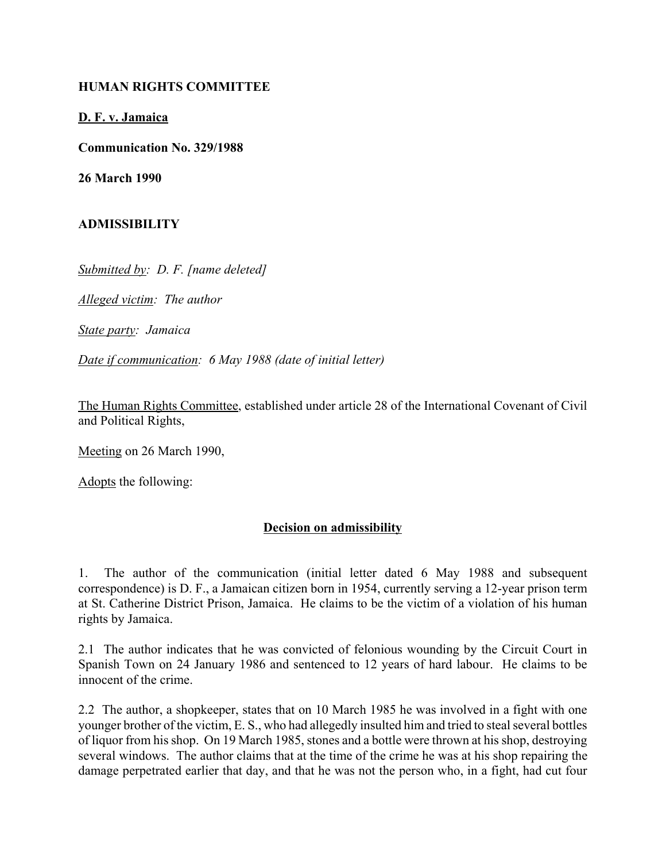## **HUMAN RIGHTS COMMITTEE**

## **D. F. v. Jamaica**

**Communication No. 329/1988**

**26 March 1990**

## **ADMISSIBILITY**

*Submitted by: D. F. [name deleted]*

*Alleged victim: The author*

*State party: Jamaica*

*Date if communication: 6 May 1988 (date of initial letter)*

The Human Rights Committee, established under article 28 of the International Covenant of Civil and Political Rights,

Meeting on 26 March 1990,

Adopts the following:

## **Decision on admissibility**

1. The author of the communication (initial letter dated 6 May 1988 and subsequent correspondence) is D. F., a Jamaican citizen born in 1954, currently serving a 12-year prison term at St. Catherine District Prison, Jamaica. He claims to be the victim of a violation of his human rights by Jamaica.

2.1 The author indicates that he was convicted of felonious wounding by the Circuit Court in Spanish Town on 24 January 1986 and sentenced to 12 years of hard labour. He claims to be innocent of the crime.

2.2 The author, a shopkeeper, states that on 10 March 1985 he was involved in a fight with one younger brother of the victim, E. S., who had allegedly insulted him and tried to steal several bottles of liquor from his shop. On 19 March 1985, stones and a bottle were thrown at his shop, destroying several windows. The author claims that at the time of the crime he was at his shop repairing the damage perpetrated earlier that day, and that he was not the person who, in a fight, had cut four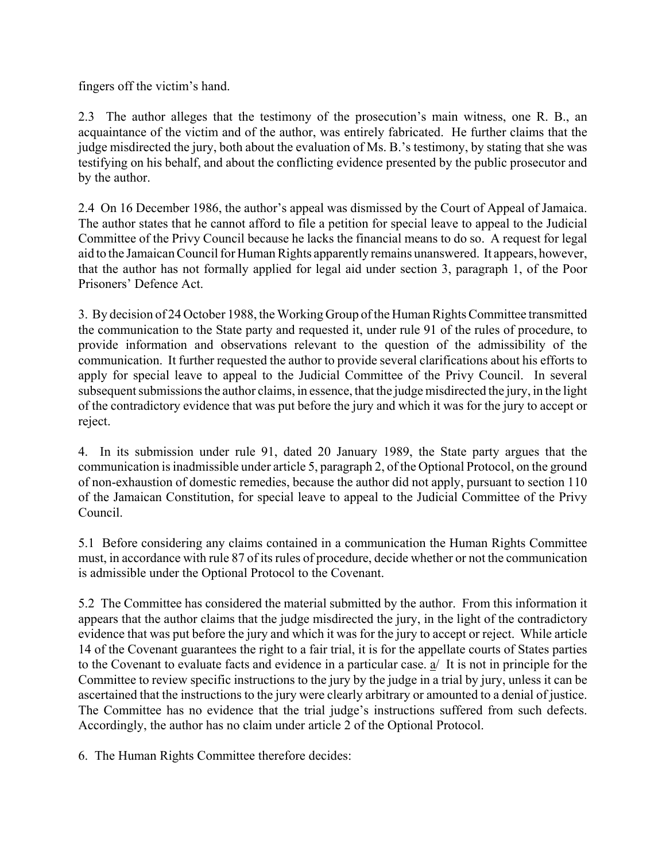fingers off the victim's hand.

2.3 The author alleges that the testimony of the prosecution's main witness, one R. B., an acquaintance of the victim and of the author, was entirely fabricated. He further claims that the judge misdirected the jury, both about the evaluation of Ms. B.'s testimony, by stating that she was testifying on his behalf, and about the conflicting evidence presented by the public prosecutor and by the author.

2.4 On 16 December 1986, the author's appeal was dismissed by the Court of Appeal of Jamaica. The author states that he cannot afford to file a petition for special leave to appeal to the Judicial Committee of the Privy Council because he lacks the financial means to do so. A request for legal aid to the Jamaican Council for Human Rights apparently remains unanswered. It appears, however, that the author has not formally applied for legal aid under section 3, paragraph 1, of the Poor Prisoners' Defence Act.

3. By decision of 24 October 1988, the Working Group of the Human Rights Committee transmitted the communication to the State party and requested it, under rule 91 of the rules of procedure, to provide information and observations relevant to the question of the admissibility of the communication. It further requested the author to provide several clarifications about his efforts to apply for special leave to appeal to the Judicial Committee of the Privy Council. In several subsequent submissions the author claims, in essence, that the judge misdirected the jury, in the light of the contradictory evidence that was put before the jury and which it was for the jury to accept or reject.

4. In its submission under rule 91, dated 20 January 1989, the State party argues that the communication is inadmissible under article 5, paragraph 2, of the Optional Protocol, on the ground of non-exhaustion of domestic remedies, because the author did not apply, pursuant to section 110 of the Jamaican Constitution, for special leave to appeal to the Judicial Committee of the Privy Council.

5.1 Before considering any claims contained in a communication the Human Rights Committee must, in accordance with rule 87 of its rules of procedure, decide whether or not the communication is admissible under the Optional Protocol to the Covenant.

5.2 The Committee has considered the material submitted by the author. From this information it appears that the author claims that the judge misdirected the jury, in the light of the contradictory evidence that was put before the jury and which it was for the jury to accept or reject. While article 14 of the Covenant guarantees the right to a fair trial, it is for the appellate courts of States parties to the Covenant to evaluate facts and evidence in a particular case. a/ It is not in principle for the Committee to review specific instructions to the jury by the judge in a trial by jury, unless it can be ascertained that the instructions to the jury were clearly arbitrary or amounted to a denial of justice. The Committee has no evidence that the trial judge's instructions suffered from such defects. Accordingly, the author has no claim under article 2 of the Optional Protocol.

6. The Human Rights Committee therefore decides: